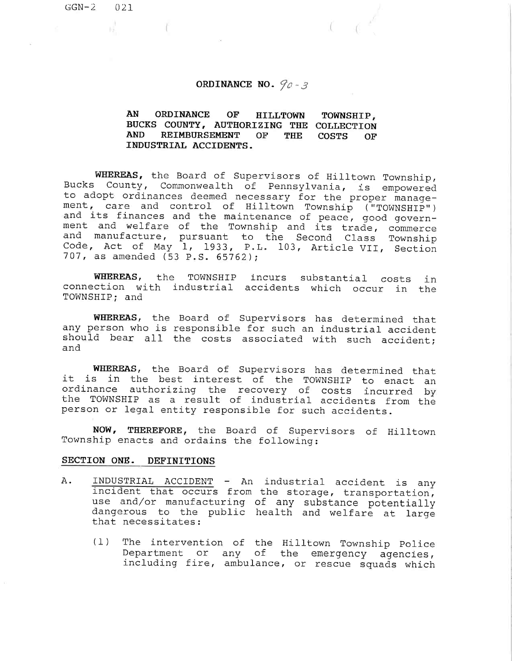- T

# ORDINANCE NO.  $90 - 3$

1,

#### AN ORDINANCE OF HILLTOWN BUCKS COUNTY, AUTHORIZING THE COLLECT AND REIMBURSEMENT OF THE INDUSTRIAL ACCIDENTS. TOWNSHIP, COSTS OF

WHEREAS, the Board of Supervisors of Hilltown Township, Bucks County, Commonwealth of Pennsylvania, is empowered to adopt ordinances deemed necessary for the proper management, care and control of Hilltown Township ("TOWNSHIP") and its finances and the maintenance of peace, good government and welfare of the Township and its trade, commerce and manufacture, pursuant to the Second Class Towns Code, Act of May 1, 1933, P.L. 103, Article VII, Sect 707, as amended (53 p.s. 65762);

WHEREAS, the TOWNSHIP incurs substantial cos connection with industrial accidents which occur in th TOWNSHIP; and in

WHEREAS, the Board of Supervisors has determined th any person who is responsible for such an industrial acci should bear all the costs associated with such accid and

WHEREAS, the Board of Supervisors has determined that it is in the best interest of the TOWNSHIP to enact an ordinance authorizing the recovery of costs incurred by the TOWNSHIP as a result of industrial accidents from the person or legal entity responsible for such accidents.

NOW, THEREFORE, the Board of Supervisors of Hilltown Township enacts and ordains the following:

## SECTION ONE. DEFINITIONS

- A. INDUSTRIAL ACCIDENT An industrial accident is any incident that occurs from the storage, transportation, use and/or manufacturing of any substance potent dangerous to the public health and welfare at lar that necessitates:
	- (l) The intervention of the Hilltown Township Police Department or any of the emergency agencies, including fire, ambulance, or rescue squads which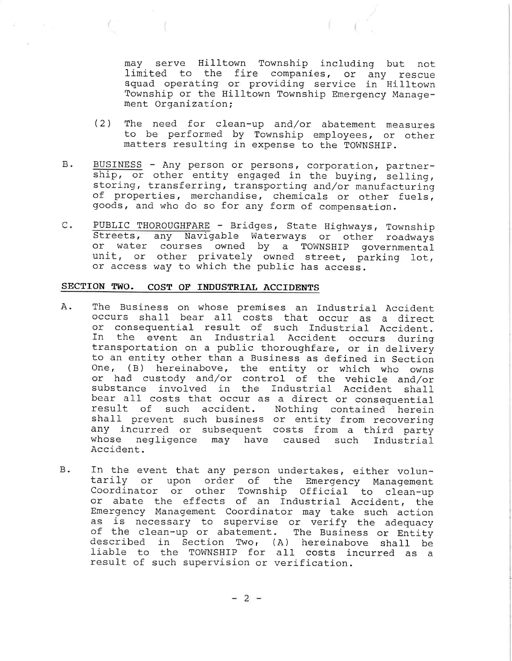may serve Hilltown Township including but not limited to the fire companies, or any rescue squad operating or providing service in Hilltown Township or the Hilltown Township Emergency Management Organization;

- (2) The need for clean-up and/or abatement measures to be performed by Township employees, or other matters resulting in expense to the TOWNSHIP.
- B. BUSINESS - Any person or persons, corporation, partnership, or other entity engaged in the buying, selling, storing, transferring, transporting and/or manufacturing of properties, merchandise, chemicals or other fuels, goods, and who do so for any form of compensation.
- PUBLIC THOROUGHFARE Bridges, State Highways, Township  $\mathsf{C}$  . Streets, any Navigable Waterways or other roadways or water courses owned by a TOWNSHIP governm unit, or other privately owned street, parking lo or access way to which the public has access.

# SECTION TWO. COST OF INDUSTRIAL ACCIDENTS

- A. The Business on whose premises an Industrial Accid occurs shall bear all costs that occur as a dir or consequential result of such Industrial Accident. In the event an Industrial Accident occurs during transportation on a public thoroughfare, or in delivery to an entity other than a Business as defined in Section One, (B) hereinabove, the entity or which who own or had custody and/or control of the vehicle and, substance involved in the Industrial Accident sha bear all costs that occur as a direct or consequential result of such accident. Nothing contained herein shall prevent such business or entity from recovering any incurred or subsequent costs from a third party whose negligence may have caused such Industrial Accident.
- In the event that any person undertakes, either volun-**B**. tarily or upon order of the Emergency Management Coordinator or other Township Official to clean-up or abate the effects of an Industrial Accident, the Emergency Management Coordinator may take such action as is necessary to supervise or verify the adequacy of the clean-up or abatement. The Business or Entity described in Section Two, (A) hereinabove shall be liable to the TOWNSHIP for all costs incurred as a result of such supervision or verification.